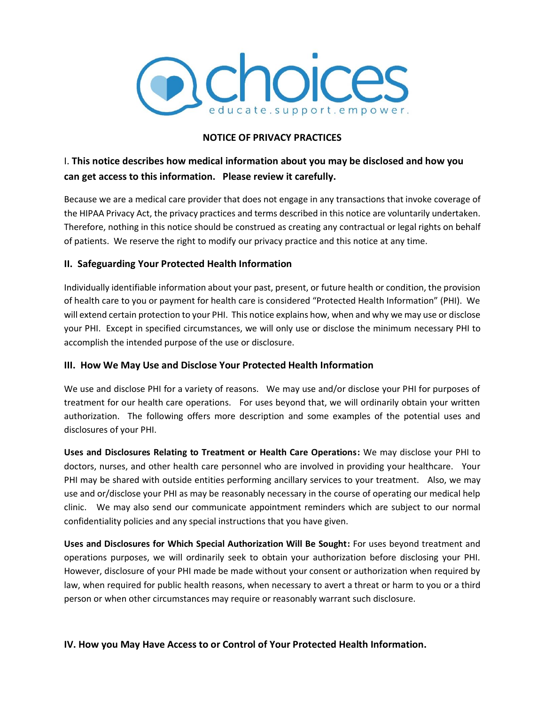

#### **NOTICE OF PRIVACY PRACTICES**

# I. **This notice describes how medical information about you may be disclosed and how you can get access to this information. Please review it carefully.**

Because we are a medical care provider that does not engage in any transactions that invoke coverage of the HIPAA Privacy Act, the privacy practices and terms described in this notice are voluntarily undertaken. Therefore, nothing in this notice should be construed as creating any contractual or legal rights on behalf of patients. We reserve the right to modify our privacy practice and this notice at any time.

### **II. Safeguarding Your Protected Health Information**

Individually identifiable information about your past, present, or future health or condition, the provision of health care to you or payment for health care is considered "Protected Health Information" (PHI). We will extend certain protection to your PHI. This notice explains how, when and why we may use or disclose your PHI. Except in specified circumstances, we will only use or disclose the minimum necessary PHI to accomplish the intended purpose of the use or disclosure.

#### **III. How We May Use and Disclose Your Protected Health Information**

We use and disclose PHI for a variety of reasons. We may use and/or disclose your PHI for purposes of treatment for our health care operations. For uses beyond that, we will ordinarily obtain your written authorization. The following offers more description and some examples of the potential uses and disclosures of your PHI.

**Uses and Disclosures Relating to Treatment or Health Care Operations:** We may disclose your PHI to doctors, nurses, and other health care personnel who are involved in providing your healthcare. Your PHI may be shared with outside entities performing ancillary services to your treatment. Also, we may use and or/disclose your PHI as may be reasonably necessary in the course of operating our medical help clinic. We may also send our communicate appointment reminders which are subject to our normal confidentiality policies and any special instructions that you have given.

**Uses and Disclosures for Which Special Authorization Will Be Sought:** For uses beyond treatment and operations purposes, we will ordinarily seek to obtain your authorization before disclosing your PHI. However, disclosure of your PHI made be made without your consent or authorization when required by law, when required for public health reasons, when necessary to avert a threat or harm to you or a third person or when other circumstances may require or reasonably warrant such disclosure.

## **IV. How you May Have Access to or Control of Your Protected Health Information.**